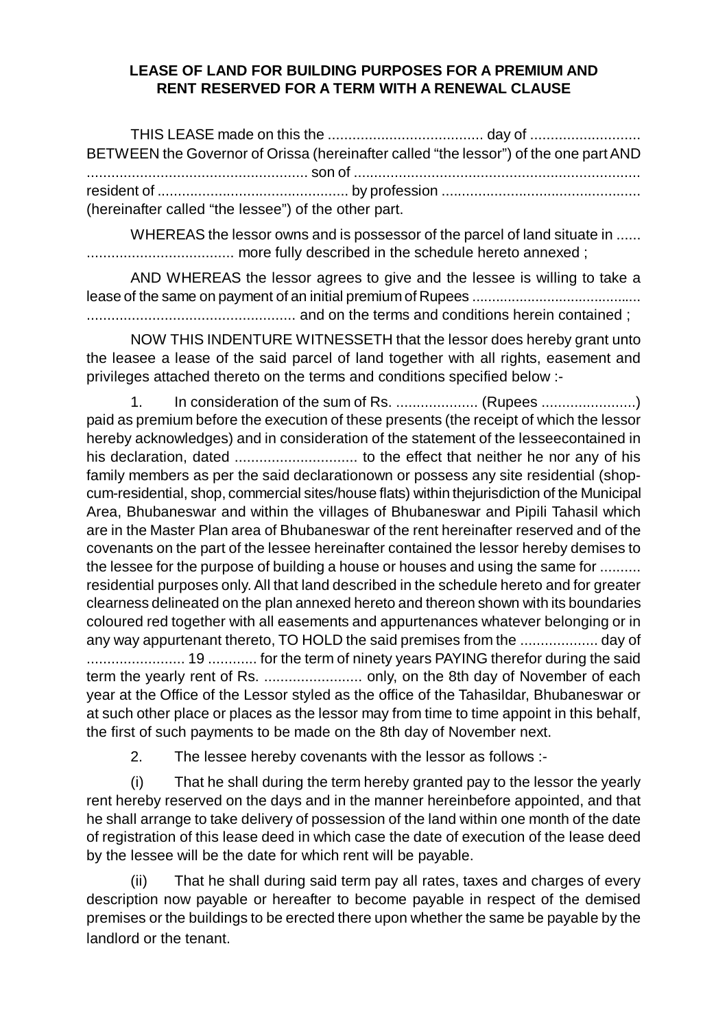## **LEASE OF LAND FOR BUILDING PURPOSES FOR A PREMIUM AND RENT RESERVED FOR A TERM WITH A RENEWAL CLAUSE**

| BETWEEN the Governor of Orissa (hereinafter called "the lessor") of the one part AND |  |
|--------------------------------------------------------------------------------------|--|
|                                                                                      |  |
|                                                                                      |  |
| (hereinafter called "the lessee") of the other part.                                 |  |

WHEREAS the lessor owns and is possessor of the parcel of land situate in ...... .................................... more fully described in the schedule hereto annexed ;

AND WHEREAS the lessor agrees to give and the lessee is willing to take a lease of the same on payment of an initial premium of Rupees ........................................... ................................................... and on the terms and conditions herein contained ;

NOW THIS INDENTURE WITNESSETH that the lessor does hereby grant unto the leasee a lease of the said parcel of land together with all rights, easement and privileges attached thereto on the terms and conditions specified below :-

In consideration of the sum of Rs. .................... (Rupees .......................) paid as premium before the execution of these presents (the receipt of which the lessor hereby acknowledges) and in consideration of the statement of the lesseecontained in his declaration, dated .............................. to the effect that neither he nor any of his family members as per the said declarationown or possess any site residential (shopcum-residential, shop, commercial sites/house flats) within thejurisdiction of the Municipal Area, Bhubaneswar and within the villages of Bhubaneswar and Pipili Tahasil which are in the Master Plan area of Bhubaneswar of the rent hereinafter reserved and of the covenants on the part of the lessee hereinafter contained the lessor hereby demises to the lessee for the purpose of building a house or houses and using the same for .......... residential purposes only. All that land described in the schedule hereto and for greater clearness delineated on the plan annexed hereto and thereon shown with its boundaries coloured red together with all easements and appurtenances whatever belonging or in any way appurtenant thereto, TO HOLD the said premises from the ................... day of ........................ 19 ............ for the term of ninety years PAYING therefor during the said term the yearly rent of Rs. ........................ only, on the 8th day of November of each year at the Office of the Lessor styled as the office of the Tahasildar, Bhubaneswar or at such other place or places as the lessor may from time to time appoint in this behalf, the first of such payments to be made on the 8th day of November next.

2. The lessee hereby covenants with the lessor as follows :-

(i) That he shall during the term hereby granted pay to the lessor the yearly rent hereby reserved on the days and in the manner hereinbefore appointed, and that he shall arrange to take delivery of possession of the land within one month of the date of registration of this lease deed in which case the date of execution of the lease deed by the lessee will be the date for which rent will be payable.

(ii) That he shall during said term pay all rates, taxes and charges of every description now payable or hereafter to become payable in respect of the demised premises or the buildings to be erected there upon whether the same be payable by the landlord or the tenant.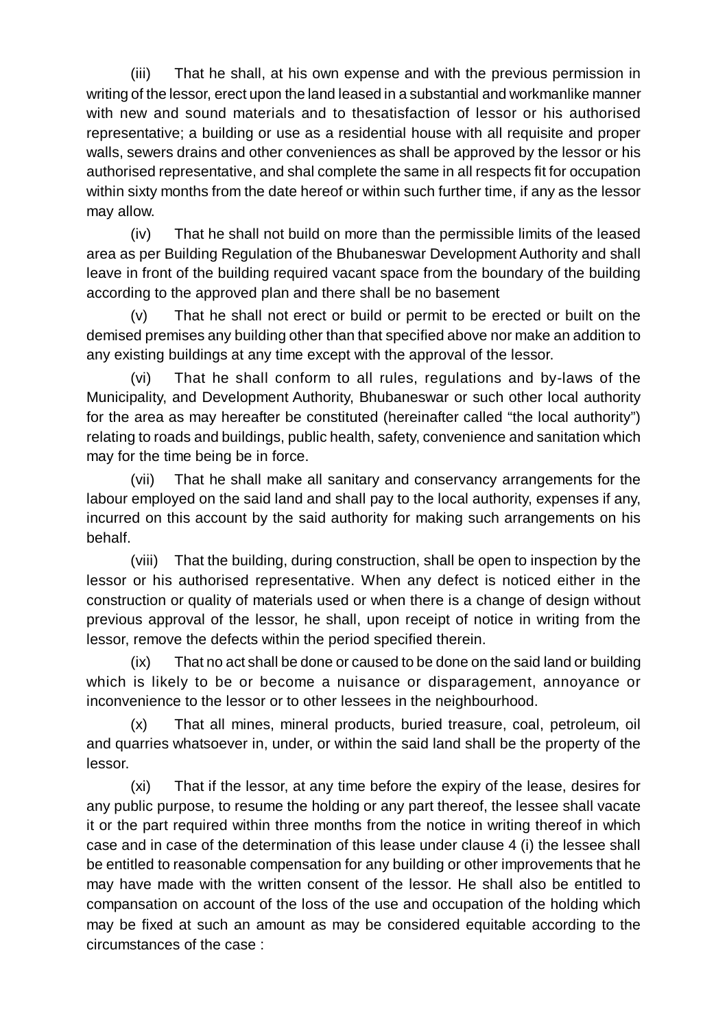(iii) That he shall, at his own expense and with the previous permission in writing of the lessor, erect upon the land leased in a substantial and workmanlike manner with new and sound materials and to thesatisfaction of lessor or his authorised representative; a building or use as a residential house with all requisite and proper walls, sewers drains and other conveniences as shall be approved by the lessor or his authorised representative, and shal complete the same in all respects fit for occupation within sixty months from the date hereof or within such further time, if any as the lessor may allow.

(iv) That he shall not build on more than the permissible limits of the leased area as per Building Regulation of the Bhubaneswar Development Authority and shall leave in front of the building required vacant space from the boundary of the building according to the approved plan and there shall be no basement

(v) That he shall not erect or build or permit to be erected or built on the demised premises any building other than that specified above nor make an addition to any existing buildings at any time except with the approval of the lessor.

(vi) That he shall conform to all rules, regulations and by-laws of the Municipality, and Development Authority, Bhubaneswar or such other local authority for the area as may hereafter be constituted (hereinafter called "the local authority") relating to roads and buildings, public health, safety, convenience and sanitation which may for the time being be in force.

(vii) That he shall make all sanitary and conservancy arrangements for the labour employed on the said land and shall pay to the local authority, expenses if any, incurred on this account by the said authority for making such arrangements on his behalf.

(viii) That the building, during construction, shall be open to inspection by the lessor or his authorised representative. When any defect is noticed either in the construction or quality of materials used or when there is a change of design without previous approval of the lessor, he shall, upon receipt of notice in writing from the lessor, remove the defects within the period specified therein.

(ix) That no act shall be done or caused to be done on the said land or building which is likely to be or become a nuisance or disparagement, annoyance or inconvenience to the lessor or to other lessees in the neighbourhood.

(x) That all mines, mineral products, buried treasure, coal, petroleum, oil and quarries whatsoever in, under, or within the said land shall be the property of the lessor.

(xi) That if the lessor, at any time before the expiry of the lease, desires for any public purpose, to resume the holding or any part thereof, the lessee shall vacate it or the part required within three months from the notice in writing thereof in which case and in case of the determination of this lease under clause 4 (i) the lessee shall be entitled to reasonable compensation for any building or other improvements that he may have made with the written consent of the lessor. He shall also be entitled to compansation on account of the loss of the use and occupation of the holding which may be fixed at such an amount as may be considered equitable according to the circumstances of the case :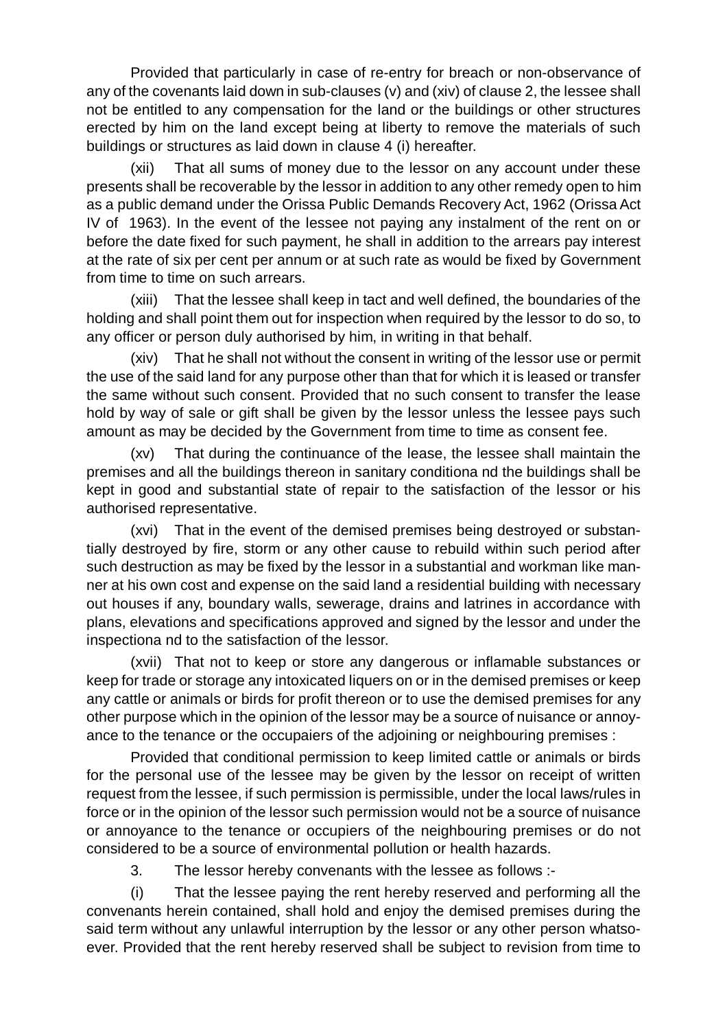Provided that particularly in case of re-entry for breach or non-observance of any of the covenants laid down in sub-clauses (v) and (xiv) of clause 2, the lessee shall not be entitled to any compensation for the land or the buildings or other structures erected by him on the land except being at liberty to remove the materials of such buildings or structures as laid down in clause 4 (i) hereafter.

(xii) That all sums of money due to the lessor on any account under these presents shall be recoverable by the lessor in addition to any other remedy open to him as a public demand under the Orissa Public Demands Recovery Act, 1962 (Orissa Act IV of 1963). In the event of the lessee not paying any instalment of the rent on or before the date fixed for such payment, he shall in addition to the arrears pay interest at the rate of six per cent per annum or at such rate as would be fixed by Government from time to time on such arrears.

(xiii) That the lessee shall keep in tact and well defined, the boundaries of the holding and shall point them out for inspection when required by the lessor to do so, to any officer or person duly authorised by him, in writing in that behalf.

(xiv) That he shall not without the consent in writing of the lessor use or permit the use of the said land for any purpose other than that for which it is leased or transfer the same without such consent. Provided that no such consent to transfer the lease hold by way of sale or gift shall be given by the lessor unless the lessee pays such amount as may be decided by the Government from time to time as consent fee.

(xv) That during the continuance of the lease, the lessee shall maintain the premises and all the buildings thereon in sanitary conditiona nd the buildings shall be kept in good and substantial state of repair to the satisfaction of the lessor or his authorised representative.

(xvi) That in the event of the demised premises being destroyed or substantially destroyed by fire, storm or any other cause to rebuild within such period after such destruction as may be fixed by the lessor in a substantial and workman like manner at his own cost and expense on the said land a residential building with necessary out houses if any, boundary walls, sewerage, drains and latrines in accordance with plans, elevations and specifications approved and signed by the lessor and under the inspectiona nd to the satisfaction of the lessor.

(xvii) That not to keep or store any dangerous or inflamable substances or keep for trade or storage any intoxicated liquers on or in the demised premises or keep any cattle or animals or birds for profit thereon or to use the demised premises for any other purpose which in the opinion of the lessor may be a source of nuisance or annoyance to the tenance or the occupaiers of the adjoining or neighbouring premises :

Provided that conditional permission to keep limited cattle or animals or birds for the personal use of the lessee may be given by the lessor on receipt of written request from the lessee, if such permission is permissible, under the local laws/rules in force or in the opinion of the lessor such permission would not be a source of nuisance or annoyance to the tenance or occupiers of the neighbouring premises or do not considered to be a source of environmental pollution or health hazards.

3. The lessor hereby convenants with the lessee as follows :-

(i) That the lessee paying the rent hereby reserved and performing all the convenants herein contained, shall hold and enjoy the demised premises during the said term without any unlawful interruption by the lessor or any other person whatsoever. Provided that the rent hereby reserved shall be subject to revision from time to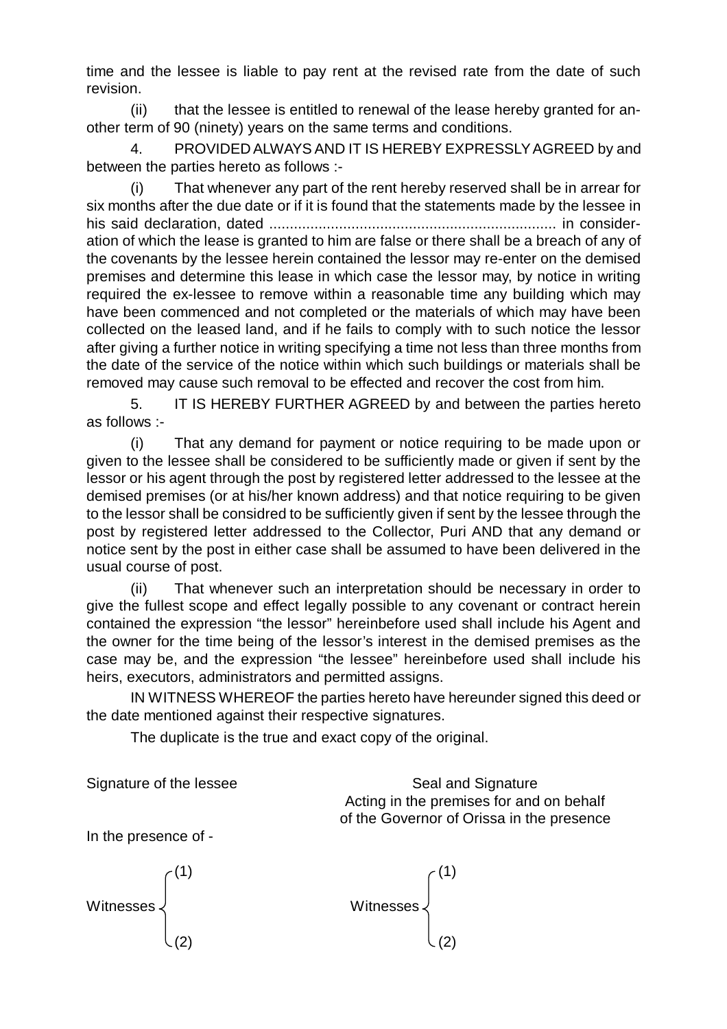time and the lessee is liable to pay rent at the revised rate from the date of such revision.

(ii) that the lessee is entitled to renewal of the lease hereby granted for another term of 90 (ninety) years on the same terms and conditions.

4. PROVIDED ALWAYS AND IT IS HEREBY EXPRESSLY AGREED by and between the parties hereto as follows :-

That whenever any part of the rent hereby reserved shall be in arrear for six months after the due date or if it is found that the statements made by the lessee in his said declaration, dated ...................................................................... in consideration of which the lease is granted to him are false or there shall be a breach of any of the covenants by the lessee herein contained the lessor may re-enter on the demised premises and determine this lease in which case the lessor may, by notice in writing required the ex-lessee to remove within a reasonable time any building which may have been commenced and not completed or the materials of which may have been collected on the leased land, and if he fails to comply with to such notice the lessor after giving a further notice in writing specifying a time not less than three months from the date of the service of the notice within which such buildings or materials shall be removed may cause such removal to be effected and recover the cost from him.

5. IT IS HEREBY FURTHER AGREED by and between the parties hereto as follows :-

(i) That any demand for payment or notice requiring to be made upon or given to the lessee shall be considered to be sufficiently made or given if sent by the lessor or his agent through the post by registered letter addressed to the lessee at the demised premises (or at his/her known address) and that notice requiring to be given to the lessor shall be considred to be sufficiently given if sent by the lessee through the post by registered letter addressed to the Collector, Puri AND that any demand or notice sent by the post in either case shall be assumed to have been delivered in the usual course of post.

(ii) That whenever such an interpretation should be necessary in order to give the fullest scope and effect legally possible to any covenant or contract herein contained the expression "the lessor" hereinbefore used shall include his Agent and the owner for the time being of the lessor's interest in the demised premises as the case may be, and the expression "the lessee" hereinbefore used shall include his heirs, executors, administrators and permitted assigns.

IN WITNESS WHEREOF the parties hereto have hereunder signed this deed or the date mentioned against their respective signatures.

The duplicate is the true and exact copy of the original.

Signature of the lessee Signature Seal and Signature Acting in the premises for and on behalf of the Governor of Orissa in the presence

In the presence of -

Witnesses  $\begin{cases} 1 & \text{if } \\ 1 & \text{if } \\ 1 & \text{if } \\ 1 & \text{if } \\ 1 & \text{if } \\ 1 & \text{if } \\ 1 & \text{if } \\ 1 & \text{if } \\ 1 & \text{if } \\ 1 & \text{if } \\ 1 & \text{if } \\ 1 & \text{if } \\ 1 & \text{if } \\ 1 & \text{if } \\ 1 & \text{if } \\ 1 & \text{if } \\ 1 & \text{if } \\ 1 & \text{if } \\ 1 & \text{if } \\ 1 & \text{if } \\ 1 & \text{if } \\ 1 & \text{if } \\ 1 & \text{if$ Witnesses  $\left\{\n\begin{array}{c}\n(1) \\
\downarrow \\
(2)\n\end{array}\n\right\}$  $(2)$  (2)